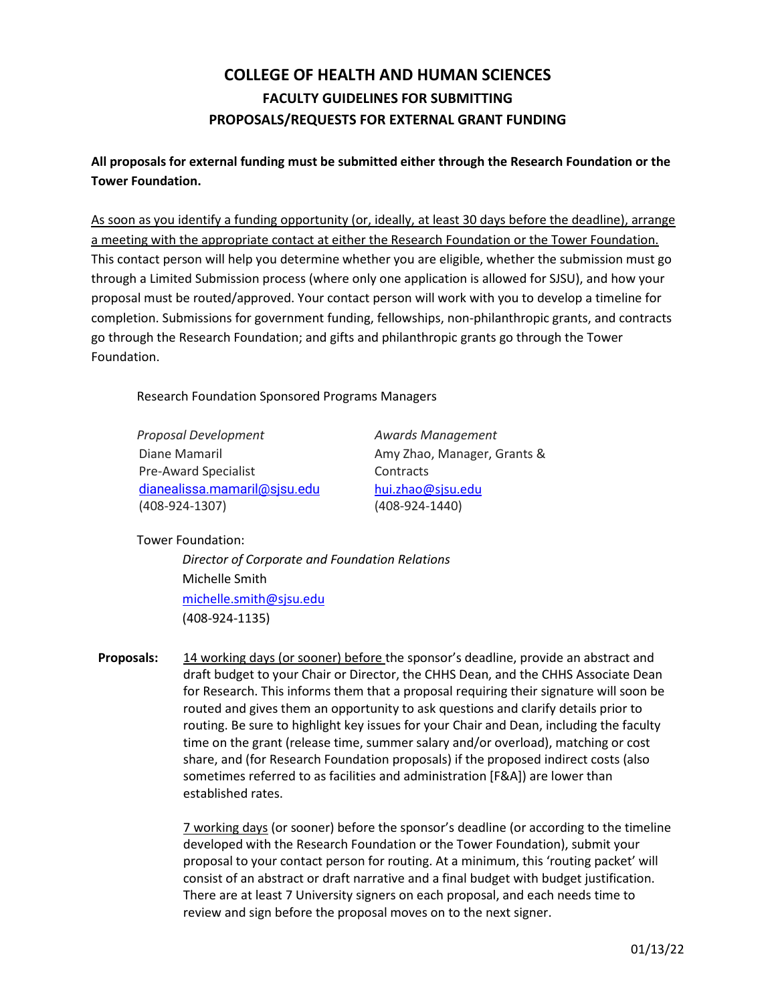## **COLLEGE OF HEALTH AND HUMAN SCIENCES FACULTY GUIDELINES FOR SUBMITTING PROPOSALS/REQUESTS FOR EXTERNAL GRANT FUNDING**

**All proposals for external funding must be submitted either through the Research Foundation or the Tower Foundation.**

As soon as you identify a funding opportunity (or, ideally, at least 30 days before the deadline), arrange a meeting with the appropriate contact at either the Research Foundation or the Tower Foundation. This contact person will help you determine whether you are eligible, whether the submission must go through a Limited Submission process (where only one application is allowed for SJSU), and how your proposal must be routed/approved. Your contact person will work with you to develop a timeline for completion. Submissions for government funding, fellowships, non-philanthropic grants, and contracts go through the Research Foundation; and gifts and philanthropic grants go through the Tower Foundation.

Research Foundation Sponsored Programs Managers

| Proposal Development         | <b>Awards Management</b> |
|------------------------------|--------------------------|
| Diane Mamaril                | Amy Zhao, Manager,       |
| <b>Pre-Award Specialist</b>  | Contracts                |
| dianealissa.mamaril@sjsu.edu | hui.zhao@sjsu.edu        |
| $(408-924-1307)$             | $(408-924-1440)$         |

hager, Grants & edu

Tower Foundation:

*Director of Corporate and Foundation Relations* Michelle Smith [michelle.smith@sjsu.edu](mailto:michelle.smith@sjsu.edu) (408-924-1135)

**Proposals:** 14 working days (or sooner) before the sponsor's deadline, provide an abstract and draft budget to your Chair or Director, the CHHS Dean, and the CHHS Associate Dean for Research. This informs them that a proposal requiring their signature will soon be routed and gives them an opportunity to ask questions and clarify details prior to routing. Be sure to highlight key issues for your Chair and Dean, including the faculty time on the grant (release time, summer salary and/or overload), matching or cost share, and (for Research Foundation proposals) if the proposed indirect costs (also sometimes referred to as facilities and administration [F&A]) are lower than established rates.

> 7 working days (or sooner) before the sponsor's deadline (or according to the timeline developed with the Research Foundation or the Tower Foundation), submit your proposal to your contact person for routing. At a minimum, this 'routing packet' will consist of an abstract or draft narrative and a final budget with budget justification. There are at least 7 University signers on each proposal, and each needs time to review and sign before the proposal moves on to the next signer.